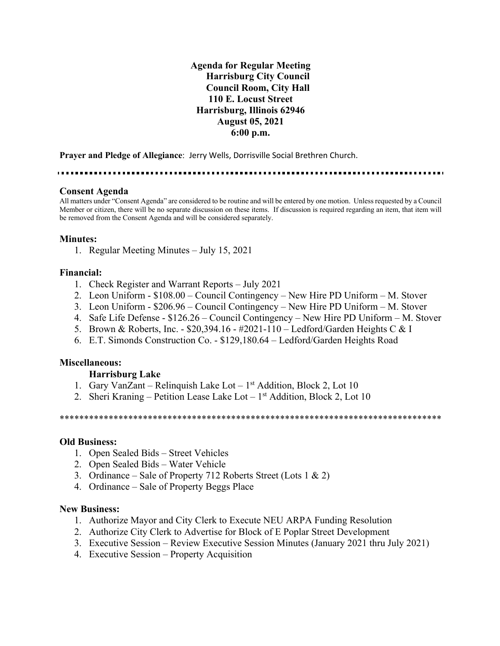**Agenda for Regular Meeting Harrisburg City Council Council Room, City Hall 110 E. Locust Street Harrisburg, Illinois 62946 August 05, 2021 6:00 p.m.**

**Prayer and Pledge of Allegiance**: Jerry Wells, Dorrisville Social Brethren Church.

### **Consent Agenda**

All matters under "Consent Agenda" are considered to be routine and will be entered by one motion. Unless requested by a Council Member or citizen, there will be no separate discussion on these items. If discussion is required regarding an item, that item will be removed from the Consent Agenda and will be considered separately.

### **Minutes:**

1. Regular Meeting Minutes – July 15, 2021

### **Financial:**

- 1. Check Register and Warrant Reports July 2021
- 2. Leon Uniform \$108.00 Council Contingency New Hire PD Uniform M. Stover
- 3. Leon Uniform \$206.96 Council Contingency New Hire PD Uniform M. Stover
- 4. Safe Life Defense \$126.26 Council Contingency New Hire PD Uniform M. Stover
- 5. Brown & Roberts, Inc. \$20,394.16 #2021-110 Ledford/Garden Heights C & I
- 6. E.T. Simonds Construction Co. \$129,180.64 Ledford/Garden Heights Road

## **Miscellaneous:**

## **Harrisburg Lake**

- 1. Gary VanZant Relinquish Lake Lot  $1<sup>st</sup>$  Addition, Block 2, Lot 10
- 2. Sheri Kraning Petition Lease Lake Lot 1<sup>st</sup> Addition, Block 2, Lot 10

\*\*\*\*\*\*\*\*\*\*\*\*\*\*\*\*\*\*\*\*\*\*\*\*\*\*\*\*\*\*\*\*\*\*\*\*\*\*\*\*\*\*\*\*\*\*\*\*\*\*\*\*\*\*\*\*\*\*\*\*\*\*\*\*\*\*\*\*\*\*\*\*\*\*\*\*\*\*

### **Old Business:**

- 1. Open Sealed Bids Street Vehicles
- 2. Open Sealed Bids Water Vehicle
- 3. Ordinance Sale of Property 712 Roberts Street (Lots 1  $\&$  2)
- 4. Ordinance Sale of Property Beggs Place

### **New Business:**

- 1. Authorize Mayor and City Clerk to Execute NEU ARPA Funding Resolution
- 2. Authorize City Clerk to Advertise for Block of E Poplar Street Development
- 3. Executive Session Review Executive Session Minutes (January 2021 thru July 2021)
- 4. Executive Session Property Acquisition